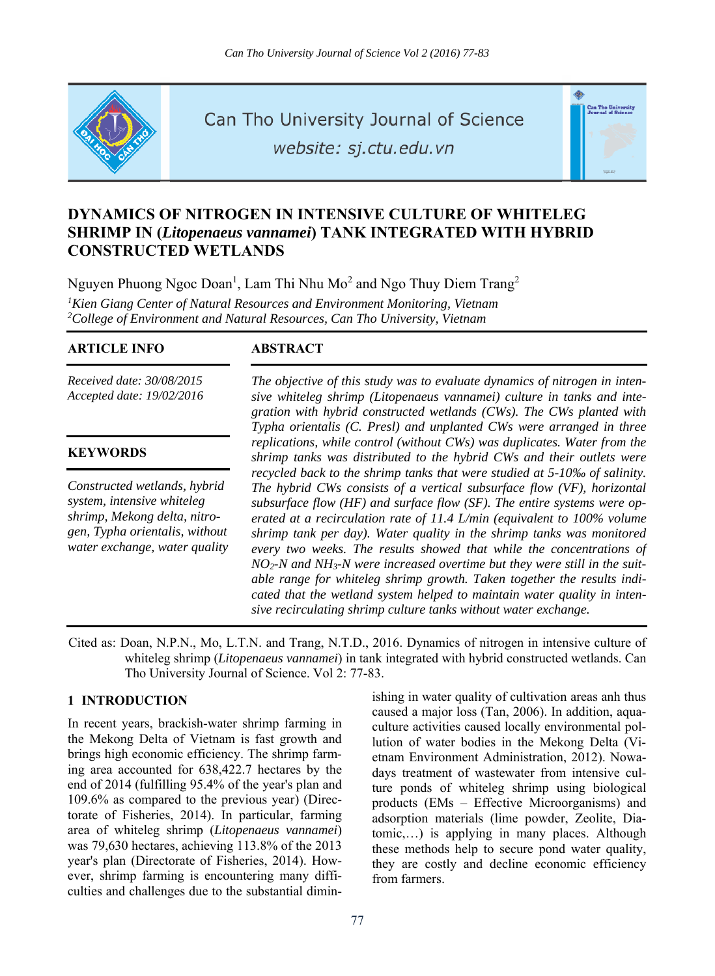

Can Tho University Journal of Science

website: sj.ctu.edu.vn



# **DYNAMICS OF NITROGEN IN INTENSIVE CULTURE OF WHITELEG SHRIMP IN (***Litopenaeus vannamei***) TANK INTEGRATED WITH HYBRID CONSTRUCTED WETLANDS**

Nguyen Phuong Ngoc Doan<sup>1</sup>, Lam Thi Nhu Mo<sup>2</sup> and Ngo Thuy Diem Trang<sup>2</sup> <sup>1</sup> Kien Giang Center of Natural Resources and Environment Monitoring, Vietnam<br><sup>2</sup>College of Environment and Natural Resources, Can Tho University, Vietnam *College of Environment and Natural Resources, Can Tho University, Vietnam* 

## **ARTICLE INFO ABSTRACT**

*Received date: 30/08/2015 Accepted date: 19/02/2016*

## **KEYWORDS**

*Constructed wetlands, hybrid system, intensive whiteleg shrimp, Mekong delta, nitrogen, Typha orientalis, without water exchange, water quality* 

*The objective of this study was to evaluate dynamics of nitrogen in intensive whiteleg shrimp (Litopenaeus vannamei) culture in tanks and integration with hybrid constructed wetlands (CWs). The CWs planted with Typha orientalis (C. Presl) and unplanted CWs were arranged in three replications, while control (without CWs) was duplicates. Water from the shrimp tanks was distributed to the hybrid CWs and their outlets were recycled back to the shrimp tanks that were studied at 5-10‰ of salinity. The hybrid CWs consists of a vertical subsurface flow (VF), horizontal subsurface flow (HF) and surface flow (SF). The entire systems were operated at a recirculation rate of 11.4 L/min (equivalent to 100% volume shrimp tank per day). Water quality in the shrimp tanks was monitored every two weeks. The results showed that while the concentrations of NO2-N and NH3-N were increased overtime but they were still in the suitable range for whiteleg shrimp growth. Taken together the results indicated that the wetland system helped to maintain water quality in intensive recirculating shrimp culture tanks without water exchange.* 

Cited as: Doan, N.P.N., Mo, L.T.N. and Trang, N.T.D., 2016. Dynamics of nitrogen in intensive culture of whiteleg shrimp (*Litopenaeus vannamei*) in tank integrated with hybrid constructed wetlands. Can Tho University Journal of Science. Vol 2: 77-83.

# **1 INTRODUCTION**

In recent years, brackish-water shrimp farming in the Mekong Delta of Vietnam is fast growth and brings high economic efficiency. The shrimp farming area accounted for 638,422.7 hectares by the end of 2014 (fulfilling 95.4% of the year's plan and 109.6% as compared to the previous year) (Directorate of Fisheries, 2014). In particular, farming area of whiteleg shrimp (*Litopenaeus vannamei*) was 79,630 hectares, achieving 113.8% of the 2013 year's plan (Directorate of Fisheries, 2014). However, shrimp farming is encountering many difficulties and challenges due to the substantial diminishing in water quality of cultivation areas anh thus caused a major loss (Tan, 2006). In addition, aquaculture activities caused locally environmental pollution of water bodies in the Mekong Delta (Vietnam Environment Administration, 2012). Nowadays treatment of wastewater from intensive culture ponds of whiteleg shrimp using biological products (EMs – Effective Microorganisms) and adsorption materials (lime powder, Zeolite, Diatomic,…) is applying in many places. Although these methods help to secure pond water quality, they are costly and decline economic efficiency from farmers.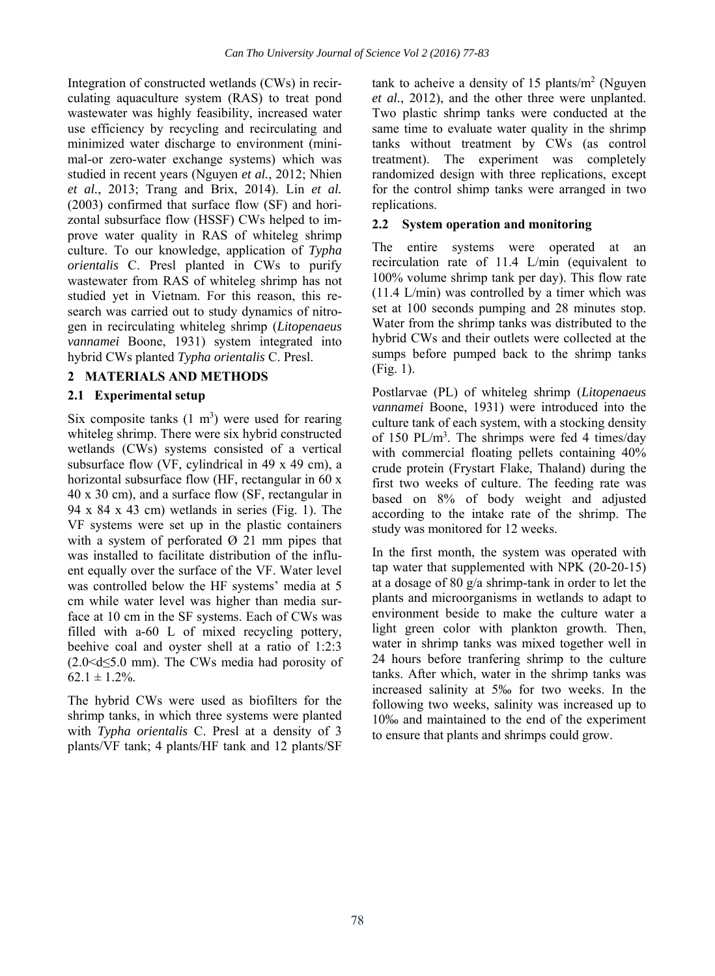Integration of constructed wetlands (CWs) in recirculating aquaculture system (RAS) to treat pond wastewater was highly feasibility, increased water use efficiency by recycling and recirculating and minimized water discharge to environment (minimal-or zero-water exchange systems) which was studied in recent years (Nguyen *et al.*, 2012; Nhien *et al.*, 2013; Trang and Brix, 2014). Lin *et al.* (2003) confirmed that surface flow (SF) and horizontal subsurface flow (HSSF) CWs helped to improve water quality in RAS of whiteleg shrimp culture. To our knowledge, application of *Typha orientalis* C. Presl planted in CWs to purify wastewater from RAS of whiteleg shrimp has not studied yet in Vietnam. For this reason, this research was carried out to study dynamics of nitrogen in recirculating whiteleg shrimp (*Litopenaeus vannamei* Boone, 1931) system integrated into hybrid CWs planted *Typha orientalis* C. Presl.

# **2 MATERIALS AND METHODS**

# **2.1 Experimental setup**

Six composite tanks  $(1 \text{ m}^3)$  were used for rearing whiteleg shrimp. There were six hybrid constructed wetlands (CWs) systems consisted of a vertical subsurface flow (VF, cylindrical in 49 x 49 cm), a horizontal subsurface flow (HF, rectangular in 60 x 40 x 30 cm), and a surface flow (SF, rectangular in 94 x 84 x 43 cm) wetlands in series (Fig. 1). The VF systems were set up in the plastic containers with a system of perforated  $\varnothing$  21 mm pipes that was installed to facilitate distribution of the influent equally over the surface of the VF. Water level was controlled below the HF systems' media at 5 cm while water level was higher than media surface at 10 cm in the SF systems. Each of CWs was filled with a-60 L of mixed recycling pottery, beehive coal and oyster shell at a ratio of 1:2:3  $(2.0 < d \leq 5.0$  mm). The CWs media had porosity of  $62.1 \pm 1.2\%$ .

The hybrid CWs were used as biofilters for the shrimp tanks, in which three systems were planted with *Typha orientalis* C. Presl at a density of 3 plants/VF tank; 4 plants/HF tank and 12 plants/SF

tank to acheive a density of 15 plants/ $m^2$  (Nguyen *et al.*, 2012), and the other three were unplanted. Two plastic shrimp tanks were conducted at the same time to evaluate water quality in the shrimp tanks without treatment by CWs (as control treatment). The experiment was completely randomized design with three replications, except for the control shimp tanks were arranged in two replications.

## **2.2 System operation and monitoring**

The entire systems were operated at an recirculation rate of 11.4 L/min (equivalent to 100% volume shrimp tank per day). This flow rate (11.4 L/min) was controlled by a timer which was set at 100 seconds pumping and 28 minutes stop. Water from the shrimp tanks was distributed to the hybrid CWs and their outlets were collected at the sumps before pumped back to the shrimp tanks (Fig. 1).

Postlarvae (PL) of whiteleg shrimp (*Litopenaeus vannamei* Boone, 1931) were introduced into the culture tank of each system, with a stocking density of 150 PL/m<sup>3</sup>. The shrimps were fed 4 times/day with commercial floating pellets containing 40% crude protein (Frystart Flake, Thaland) during the first two weeks of culture. The feeding rate was based on 8% of body weight and adjusted according to the intake rate of the shrimp. The study was monitored for 12 weeks.

In the first month, the system was operated with tap water that supplemented with NPK (20-20-15) at a dosage of 80 g/a shrimp-tank in order to let the plants and microorganisms in wetlands to adapt to environment beside to make the culture water a light green color with plankton growth. Then, water in shrimp tanks was mixed together well in 24 hours before tranfering shrimp to the culture tanks. After which, water in the shrimp tanks was increased salinity at 5‰ for two weeks. In the following two weeks, salinity was increased up to 10‰ and maintained to the end of the experiment to ensure that plants and shrimps could grow.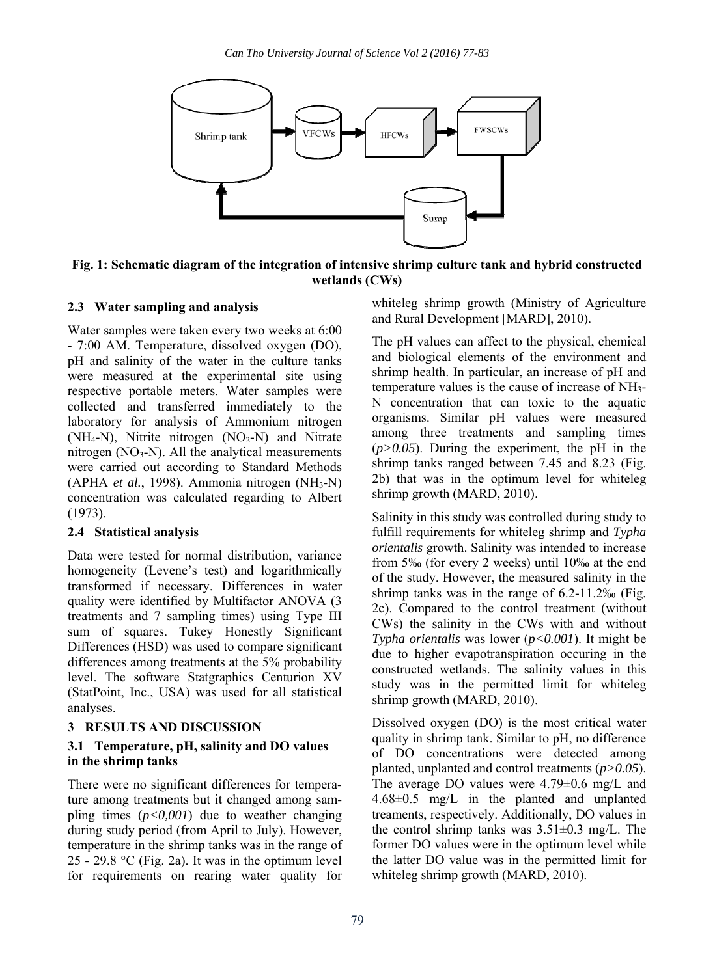

**Fig. 1: Schematic diagram of the integration of intensive shrimp culture tank and hybrid constructed wetlands (CWs)** 

# **2.3 Water sampling and analysis**

Water samples were taken every two weeks at 6:00 - 7:00 AM. Temperature, dissolved oxygen (DO), pH and salinity of the water in the culture tanks were measured at the experimental site using respective portable meters. Water samples were collected and transferred immediately to the laboratory for analysis of Ammonium nitrogen (NH<sub>4</sub>-N), Nitrite nitrogen (NO<sub>2</sub>-N) and Nitrate nitrogen  $(NO<sub>3</sub>-N)$ . All the analytical measurements were carried out according to Standard Methods (APHA *et al.*, 1998). Ammonia nitrogen (NH3-N) concentration was calculated regarding to Albert (1973).

# **2.4 Statistical analysis**

Data were tested for normal distribution, variance homogeneity (Levene's test) and logarithmically transformed if necessary. Differences in water quality were identified by Multifactor ANOVA (3 treatments and 7 sampling times) using Type III sum of squares. Tukey Honestly Significant Differences (HSD) was used to compare significant differences among treatments at the 5% probability level. The software Statgraphics Centurion XV (StatPoint, Inc., USA) was used for all statistical analyses.

# **3 RESULTS AND DISCUSSION**

# **3.1 Temperature, pH, salinity and DO values in the shrimp tanks**

There were no significant differences for temperature among treatments but it changed among sampling times (*p<0,001*) due to weather changing during study period (from April to July). However, temperature in the shrimp tanks was in the range of 25 - 29.8 °C (Fig. 2a). It was in the optimum level for requirements on rearing water quality for

whiteleg shrimp growth (Ministry of Agriculture and Rural Development [MARD], 2010).

The pH values can affect to the physical, chemical and biological elements of the environment and shrimp health. In particular, an increase of pH and temperature values is the cause of increase of NH3- N concentration that can toxic to the aquatic organisms. Similar pH values were measured among three treatments and sampling times  $(p>0.05)$ . During the experiment, the pH in the shrimp tanks ranged between 7.45 and 8.23 (Fig. 2b) that was in the optimum level for whiteleg shrimp growth (MARD, 2010).

Salinity in this study was controlled during study to fulfill requirements for whiteleg shrimp and *Typha orientalis* growth. Salinity was intended to increase from 5‰ (for every 2 weeks) until 10‰ at the end of the study. However, the measured salinity in the shrimp tanks was in the range of 6.2-11.2‰ (Fig. 2c). Compared to the control treatment (without CWs) the salinity in the CWs with and without *Typha orientalis* was lower (*p<0.001*). It might be due to higher evapotranspiration occuring in the constructed wetlands. The salinity values in this study was in the permitted limit for whiteleg shrimp growth (MARD, 2010).

Dissolved oxygen (DO) is the most critical water quality in shrimp tank. Similar to pH, no difference of DO concentrations were detected among planted, unplanted and control treatments (*p>0.05*). The average DO values were 4.79±0.6 mg/L and 4.68±0.5 mg/L in the planted and unplanted treaments, respectively. Additionally, DO values in the control shrimp tanks was  $3.51\pm0.3$  mg/L. The former DO values were in the optimum level while the latter DO value was in the permitted limit for whiteleg shrimp growth (MARD, 2010).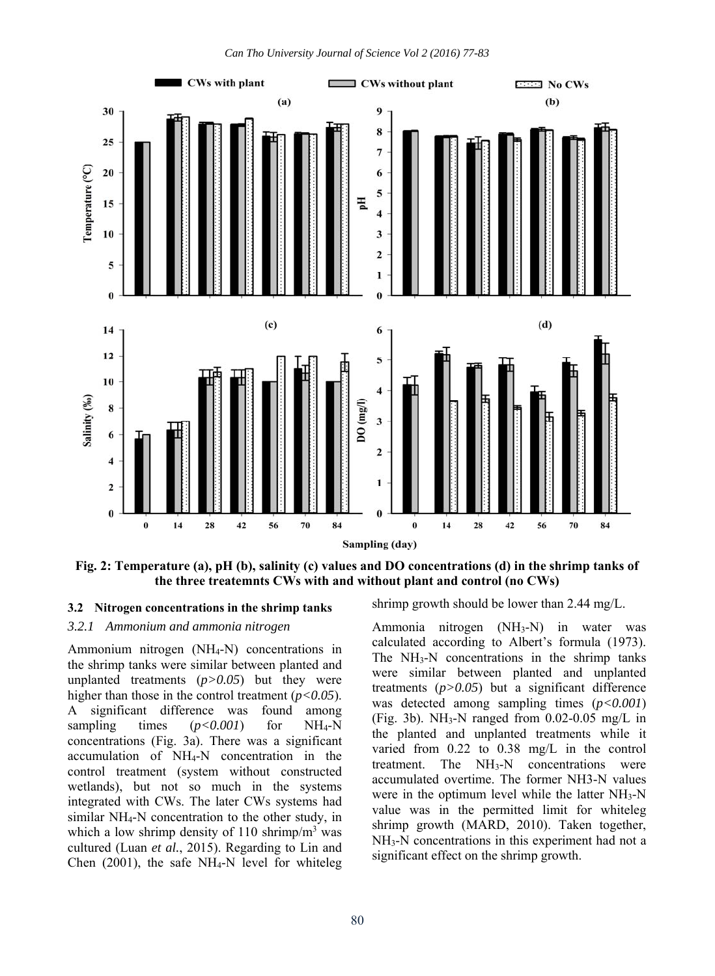

**Fig. 2: Temperature (a), pH (b), salinity (c) values and DO concentrations (d) in the shrimp tanks of the three treatemnts CWs with and without plant and control (no CWs)**

# **3.2 Nitrogen concentrations in the shrimp tanks**

*3.2.1 Ammonium and ammonia nitrogen* 

Ammonium nitrogen (NH4-N) concentrations in the shrimp tanks were similar between planted and unplanted treatments (*p>0.05*) but they were higher than those in the control treatment (*p<0.05*). A significant difference was found among sampling times  $(p<0.001)$  for NH<sub>4</sub>-N concentrations (Fig. 3a). There was a significant accumulation of NH4-N concentration in the control treatment (system without constructed wetlands), but not so much in the systems integrated with CWs. The later CWs systems had similar NH4-N concentration to the other study, in which a low shrimp density of 110 shrimp/ $m<sup>3</sup>$  was cultured (Luan *et al.*, 2015). Regarding to Lin and Chen  $(2001)$ , the safe NH<sub>4</sub>-N level for whiteleg

shrimp growth should be lower than 2.44 mg/L.

Ammonia nitrogen  $(NH_3-N)$  in water was calculated according to Albert's formula (1973). The  $NH<sub>3</sub>-N$  concentrations in the shrimp tanks were similar between planted and unplanted treatments  $(p>0.05)$  but a significant difference was detected among sampling times (*p<0.001*) (Fig. 3b). NH<sub>3</sub>-N ranged from  $0.02$ -0.05 mg/L in the planted and unplanted treatments while it varied from 0.22 to 0.38 mg/L in the control treatment. The  $NH<sub>3</sub>-N$  concentrations were accumulated overtime. The former NH3-N values were in the optimum level while the latter NH<sub>3</sub>-N value was in the permitted limit for whiteleg shrimp growth (MARD, 2010). Taken together, NH<sub>3</sub>-N concentrations in this experiment had not a significant effect on the shrimp growth.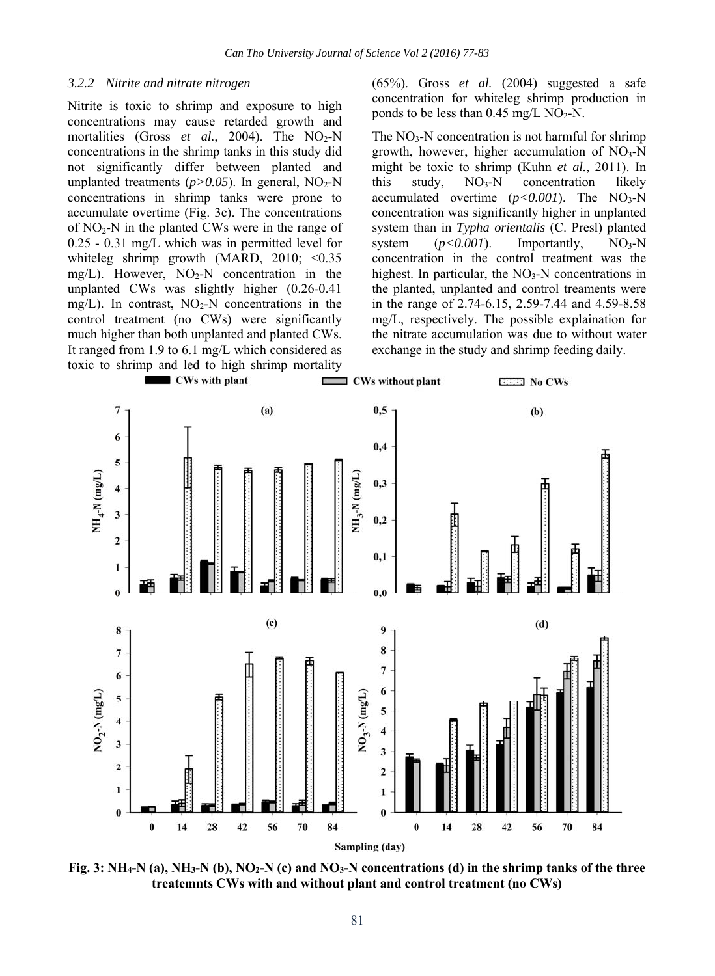#### *3.2.2 Nitrite and nitrate nitrogen*

Nitrite is toxic to shrimp and exposure to high concentrations may cause retarded growth and mortalities (Gross *et al.*, 2004). The NO<sub>2</sub>-N concentrations in the shrimp tanks in this study did not significantly differ between planted and unplanted treatments  $(p>0.05)$ . In general, NO<sub>2</sub>-N concentrations in shrimp tanks were prone to accumulate overtime (Fig. 3c). The concentrations of  $NO<sub>2</sub>-N$  in the planted CWs were in the range of 0.25 - 0.31 mg/L which was in permitted level for whiteleg shrimp growth (MARD, 2010; <0.35 mg/L). However,  $NO<sub>2</sub>-N$  concentration in the unplanted CWs was slightly higher (0.26-0.41 mg/L). In contrast,  $NO<sub>2</sub>-N$  concentrations in the control treatment (no CWs) were significantly much higher than both unplanted and planted CWs. It ranged from 1.9 to 6.1 mg/L which considered as toxic to shrimp and led to high shrimp mortality

(65%). Gross *et al.* (2004) suggested a safe concentration for whiteleg shrimp production in ponds to be less than  $0.45 \text{ mg/L NO}_2\text{-N}$ .

The  $NO<sub>3</sub>-N$  concentration is not harmful for shrimp growth, however, higher accumulation of  $NO<sub>3</sub>-N$ might be toxic to shrimp (Kuhn *et al.*, 2011). In this study,  $NO<sub>3</sub>-N$  concentration likely accumulated overtime  $(p<0.001)$ . The NO<sub>3</sub>-N concentration was significantly higher in unplanted system than in *Typha orientalis* (C. Presl) planted system  $(p<0.001)$ . Importantly, NO<sub>3</sub>-N concentration in the control treatment was the highest. In particular, the  $NO<sub>3</sub>-N$  concentrations in the planted, unplanted and control treaments were in the range of 2.74-6.15, 2.59-7.44 and 4.59-8.58 mg/L, respectively. The possible explaination for the nitrate accumulation was due to without water exchange in the study and shrimp feeding daily.



**Fig. 3: NH4-N (a), NH3-N (b), NO2-N (c) and NO3-N concentrations (d) in the shrimp tanks of the three treatemnts CWs with and without plant and control treatment (no CWs)**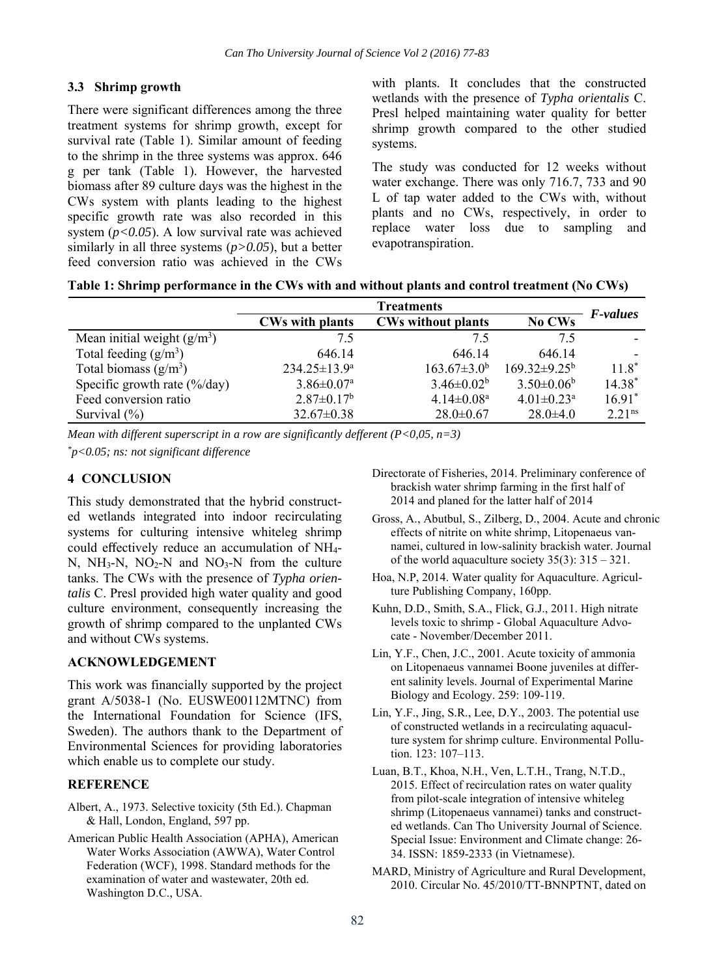### **3.3 Shrimp growth**

There were significant differences among the three treatment systems for shrimp growth, except for survival rate (Table 1). Similar amount of feeding to the shrimp in the three systems was approx. 646 g per tank (Table 1). However, the harvested biomass after 89 culture days was the highest in the CWs system with plants leading to the highest specific growth rate was also recorded in this system (*p<0.05*). A low survival rate was achieved similarly in all three systems (*p>0.05*), but a better feed conversion ratio was achieved in the CWs

with plants. It concludes that the constructed wetlands with the presence of *Typha orientalis* C. Presl helped maintaining water quality for better shrimp growth compared to the other studied systems.

The study was conducted for 12 weeks without water exchange. There was only 716.7, 733 and 90 L of tap water added to the CWs with, without plants and no CWs, respectively, in order to replace water loss due to sampling and evapotranspiration.

|  | Table 1: Shrimp performance in the CWs with and without plants and control treatment (No CWs) |  |  |  |  |
|--|-----------------------------------------------------------------------------------------------|--|--|--|--|
|  |                                                                                               |  |  |  |  |

|                                        | <b>Treatments</b>            |                              |                                |                    |  |  |
|----------------------------------------|------------------------------|------------------------------|--------------------------------|--------------------|--|--|
|                                        | <b>CWs with plants</b>       | <b>CWs without plants</b>    | No CWs                         | <i>F-values</i>    |  |  |
| Mean initial weight $(g/m3)$           | 7.5                          | 7.5                          | 75                             |                    |  |  |
| Total feeding $(g/m^3)$                | 646.14                       | 646.14                       | 646.14                         |                    |  |  |
| Total biomass $(g/m^3)$                | $234.25 \pm 13.9^{\circ}$    | $163.67 \pm 3.0^b$           | $169.32 \pm 9.25^{\mathrm{b}}$ | $11.8*$            |  |  |
| Specific growth rate $(\frac{6}{d}ay)$ | $3.86 \pm 0.07$ <sup>a</sup> | $3.46 \pm 0.02^b$            | $3.50 \pm 0.06^b$              | $14.38*$           |  |  |
| Feed conversion ratio                  | $2.87 \pm 0.17^b$            | $4.14 \pm 0.08$ <sup>a</sup> | $4.01 \pm 0.23$ <sup>a</sup>   | $16.91*$           |  |  |
| Survival $(\% )$                       | $32.67 \pm 0.38$             | $28.0 \pm 0.67$              | $28.0 \pm 4.0$                 | 2.21 <sup>ns</sup> |  |  |

*Mean with different superscript in a row are significantly defferent (P<0,05, n=3)* 

*\*p<0.05; ns: not significant difference* 

## **4 CONCLUSION**

This study demonstrated that the hybrid constructed wetlands integrated into indoor recirculating systems for culturing intensive whiteleg shrimp could effectively reduce an accumulation of NH4- N, NH<sub>3</sub>-N, NO<sub>2</sub>-N and NO<sub>3</sub>-N from the culture tanks. The CWs with the presence of *Typha orientalis* C. Presl provided high water quality and good culture environment, consequently increasing the growth of shrimp compared to the unplanted CWs and without CWs systems.

### **ACKNOWLEDGEMENT**

This work was financially supported by the project grant A/5038-1 (No. EUSWE00112MTNC) from the International Foundation for Science (IFS, Sweden). The authors thank to the Department of Environmental Sciences for providing laboratories which enable us to complete our study.

### **REFERENCE**

- Albert, A., 1973. Selective toxicity (5th Ed.). Chapman & Hall, London, England, 597 pp.
- American Public Health Association (APHA), American Water Works Association (AWWA), Water Control Federation (WCF), 1998. Standard methods for the examination of water and wastewater, 20th ed. Washington D.C., USA.
- Directorate of Fisheries, 2014. Preliminary conference of brackish water shrimp farming in the first half of 2014 and planed for the latter half of 2014
- Gross, A., Abutbul, S., Zilberg, D., 2004. Acute and chronic effects of nitrite on white shrimp, Litopenaeus vannamei, cultured in low-salinity brackish water. Journal of the world aquaculture society 35(3): 315 – 321.
- Hoa, N.P, 2014. Water quality for Aquaculture. Agriculture Publishing Company, 160pp.
- Kuhn, D.D., Smith, S.A., Flick, G.J., 2011. High nitrate levels toxic to shrimp - Global Aquaculture Advocate - November/December 2011.
- Lin, Y.F., Chen, J.C., 2001. Acute toxicity of ammonia on Litopenaeus vannamei Boone juveniles at different salinity levels. Journal of Experimental Marine Biology and Ecology. 259: 109-119.
- Lin, Y.F., Jing, S.R., Lee, D.Y., 2003. The potential use of constructed wetlands in a recirculating aquaculture system for shrimp culture. Environmental Pollution. 123: 107–113.
- Luan, B.T., Khoa, N.H., Ven, L.T.H., Trang, N.T.D., 2015. Effect of recirculation rates on water quality from pilot-scale integration of intensive whiteleg shrimp (Litopenaeus vannamei) tanks and constructed wetlands. Can Tho University Journal of Science. Special Issue: Environment and Climate change: 26- 34. ISSN: 1859-2333 (in Vietnamese).
- MARD, Ministry of Agriculture and Rural Development, 2010. Circular No. 45/2010/TT-BNNPTNT, dated on